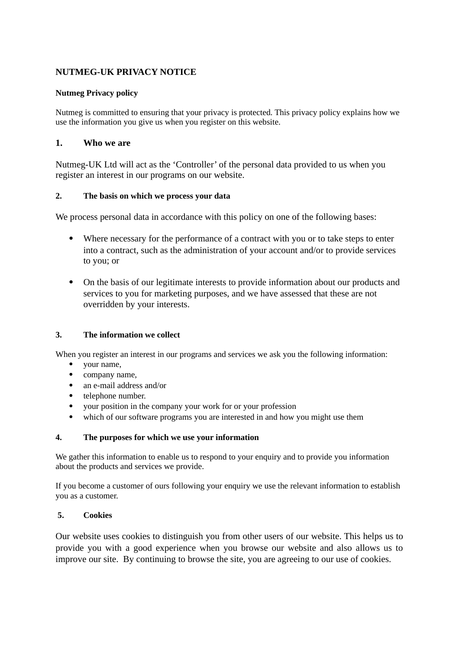# **NUTMEG-UK PRIVACY NOTICE**

#### **Nutmeg Privacy policy**

Nutmeg is committed to ensuring that your privacy is protected. This privacy policy explains how we use the information you give us when you register on this website.

### **1. Who we are**

Nutmeg-UK Ltd will act as the 'Controller' of the personal data provided to us when you register an interest in our programs on our website.

#### **2. The basis on which we process your data**

We process personal data in accordance with this policy on one of the following bases:

- Where necessary for the performance of a contract with you or to take steps to enter into a contract, such as the administration of your account and/or to provide services to you; or
- On the basis of our legitimate interests to provide information about our products and services to you for marketing purposes, and we have assessed that these are not overridden by your interests.

#### **3. The information we collect**

When you register an interest in our programs and services we ask you the following information:

- your name,
- company name.
- an e-mail address and/or
- telephone number.
- your position in the company your work for or your profession
- which of our software programs you are interested in and how you might use them

#### **4. The purposes for which we use your information**

We gather this information to enable us to respond to your enquiry and to provide you information about the products and services we provide.

If you become a customer of ours following your enquiry we use the relevant information to establish you as a customer.

#### **5. Cookies**

Our website uses cookies to distinguish you from other users of our website. This helps us to provide you with a good experience when you browse our website and also allows us to improve our site. By continuing to browse the site, you are agreeing to our use of cookies.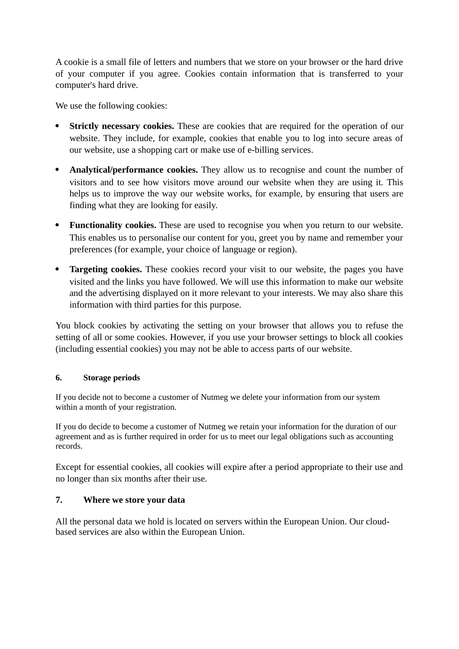A cookie is a small file of letters and numbers that we store on your browser or the hard drive of your computer if you agree. Cookies contain information that is transferred to your computer's hard drive.

We use the following cookies:

- **Strictly necessary cookies.** These are cookies that are required for the operation of our website. They include, for example, cookies that enable you to log into secure areas of our website, use a shopping cart or make use of e-billing services.
- **Analytical/performance cookies.** They allow us to recognise and count the number of visitors and to see how visitors move around our website when they are using it. This helps us to improve the way our website works, for example, by ensuring that users are finding what they are looking for easily.
- **Functionality cookies.** These are used to recognise you when you return to our website. This enables us to personalise our content for you, greet you by name and remember your preferences (for example, your choice of language or region).
- **Targeting cookies.** These cookies record your visit to our website, the pages you have visited and the links you have followed. We will use this information to make our website and the advertising displayed on it more relevant to your interests. We may also share this information with third parties for this purpose.

You block cookies by activating the setting on your browser that allows you to refuse the setting of all or some cookies. However, if you use your browser settings to block all cookies (including essential cookies) you may not be able to access parts of our website.

#### **6. Storage periods**

If you decide not to become a customer of Nutmeg we delete your information from our system within a month of your registration.

If you do decide to become a customer of Nutmeg we retain your information for the duration of our agreement and as is further required in order for us to meet our legal obligations such as accounting records.

Except for essential cookies, all cookies will expire after a period appropriate to their use and no longer than six months after their use.

# **7. Where we store your data**

All the personal data we hold is located on servers within the European Union. Our cloudbased services are also within the European Union.